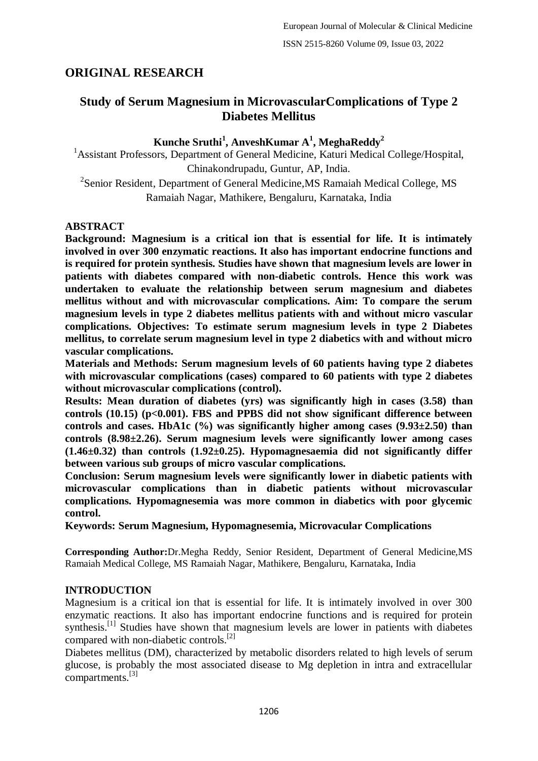# **ORIGINAL RESEARCH**

# **Study of Serum Magnesium in MicrovascularComplications of Type 2 Diabetes Mellitus**

## **Kunche Sruthi<sup>1</sup> , AnveshKumar A<sup>1</sup> , MeghaReddy<sup>2</sup>**

<sup>1</sup> Assistant Professors, Department of General Medicine, Katuri Medical College/Hospital, Chinakondrupadu, Guntur, AP, India. <sup>2</sup> Senior Resident, Department of General Medicine, MS Ramaiah Medical College, MS Ramaiah Nagar, Mathikere, Bengaluru, Karnataka, India

## **ABSTRACT**

**Background: Magnesium is a critical ion that is essential for life. It is intimately involved in over 300 enzymatic reactions. It also has important endocrine functions and is required for protein synthesis. Studies have shown that magnesium levels are lower in patients with diabetes compared with non-diabetic controls. Hence this work was undertaken to evaluate the relationship between serum magnesium and diabetes mellitus without and with microvascular complications. Aim: To compare the serum magnesium levels in type 2 diabetes mellitus patients with and without micro vascular complications. Objectives: To estimate serum magnesium levels in type 2 Diabetes mellitus, to correlate serum magnesium level in type 2 diabetics with and without micro vascular complications.**

**Materials and Methods: Serum magnesium levels of 60 patients having type 2 diabetes with microvascular complications (cases) compared to 60 patients with type 2 diabetes without microvascular complications (control).**

**Results: Mean duration of diabetes (yrs) was significantly high in cases (3.58) than**  controls (10.15) (p<0.001). FBS and PPBS did not show significant difference between **controls and cases. HbA1c (%) was significantly higher among cases (9.93±2.50) than controls (8.98±2.26). Serum magnesium levels were significantly lower among cases (1.46±0.32) than controls (1.92±0.25). Hypomagnesaemia did not significantly differ between various sub groups of micro vascular complications.**

**Conclusion: Serum magnesium levels were significantly lower in diabetic patients with microvascular complications than in diabetic patients without microvascular complications. Hypomagnesemia was more common in diabetics with poor glycemic control.**

**Keywords: Serum Magnesium, Hypomagnesemia, Microvacular Complications**

**Corresponding Author:**Dr.Megha Reddy, Senior Resident, Department of General Medicine,MS Ramaiah Medical College, MS Ramaiah Nagar, Mathikere, Bengaluru, Karnataka, India

## **INTRODUCTION**

Magnesium is a critical ion that is essential for life. It is intimately involved in over 300 enzymatic reactions. It also has important endocrine functions and is required for protein synthesis.<sup>[1]</sup> Studies have shown that magnesium levels are lower in patients with diabetes compared with non-diabetic controls.[2]

Diabetes mellitus (DM), characterized by metabolic disorders related to high levels of serum glucose, is probably the most associated disease to Mg depletion in intra and extracellular compartments.[3]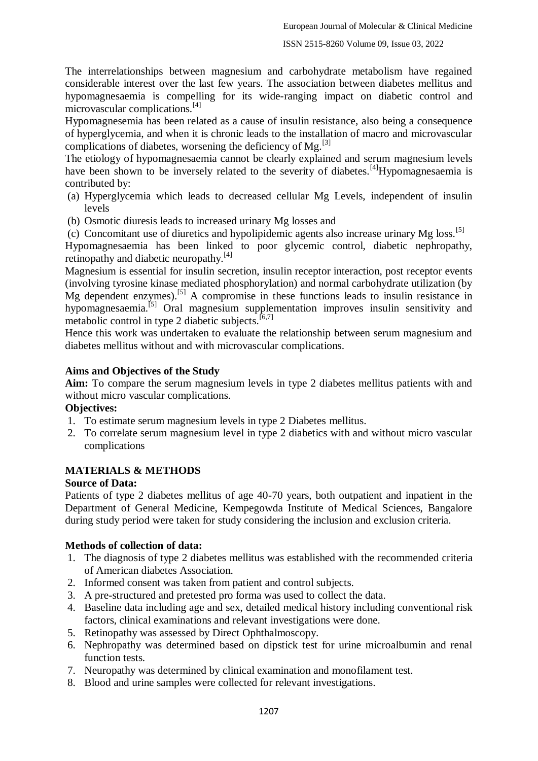The interrelationships between magnesium and carbohydrate metabolism have regained considerable interest over the last few years. The association between diabetes mellitus and hypomagnesaemia is compelling for its wide-ranging impact on diabetic control and microvascular complications.[4]

Hypomagnesemia has been related as a cause of insulin resistance, also being a consequence of hyperglycemia, and when it is chronic leads to the installation of macro and microvascular complications of diabetes, worsening the deficiency of  $Mg$ .<sup>[3]</sup>

The etiology of hypomagnesaemia cannot be clearly explained and serum magnesium levels have been shown to be inversely related to the severity of diabetes.<sup>[4]</sup>Hypomagnesaemia is contributed by:

- (a) Hyperglycemia which leads to decreased cellular Mg Levels, independent of insulin levels
- (b) Osmotic diuresis leads to increased urinary Mg losses and

(c) Concomitant use of diuretics and hypolipidemic agents also increase urinary Mg loss.[5] Hypomagnesaemia has been linked to poor glycemic control, diabetic nephropathy,

retinopathy and diabetic neuropathy.<sup>[4]</sup>

Magnesium is essential for insulin secretion, insulin receptor interaction, post receptor events (involving tyrosine kinase mediated phosphorylation) and normal carbohydrate utilization (by Mg dependent enzymes).<sup>[5]</sup> A compromise in these functions leads to insulin resistance in hypomagnesaemia.[5] Oral magnesium supplementation improves insulin sensitivity and metabolic control in type 2 diabetic subjects.<sup>[6,7]</sup>

Hence this work was undertaken to evaluate the relationship between serum magnesium and diabetes mellitus without and with microvascular complications.

#### **Aims and Objectives of the Study**

**Aim:** To compare the serum magnesium levels in type 2 diabetes mellitus patients with and without micro vascular complications.

#### **Objectives:**

- 1. To estimate serum magnesium levels in type 2 Diabetes mellitus.
- 2. To correlate serum magnesium level in type 2 diabetics with and without micro vascular complications

## **MATERIALS & METHODS**

#### **Source of Data:**

Patients of type 2 diabetes mellitus of age 40-70 years, both outpatient and inpatient in the Department of General Medicine, Kempegowda Institute of Medical Sciences, Bangalore during study period were taken for study considering the inclusion and exclusion criteria.

#### **Methods of collection of data:**

- 1. The diagnosis of type 2 diabetes mellitus was established with the recommended criteria of American diabetes Association.
- 2. Informed consent was taken from patient and control subjects.
- 3. A pre-structured and pretested pro forma was used to collect the data.
- 4. Baseline data including age and sex, detailed medical history including conventional risk factors, clinical examinations and relevant investigations were done.
- 5. Retinopathy was assessed by Direct Ophthalmoscopy.
- 6. Nephropathy was determined based on dipstick test for urine microalbumin and renal function tests.
- 7. Neuropathy was determined by clinical examination and monofilament test.
- 8. Blood and urine samples were collected for relevant investigations.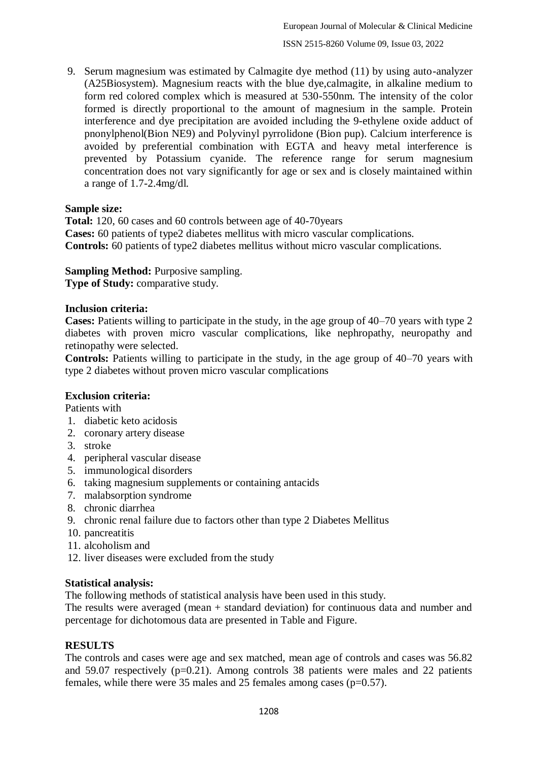9. Serum magnesium was estimated by Calmagite dye method (11) by using auto-analyzer (A25Biosystem). Magnesium reacts with the blue dye,calmagite, in alkaline medium to form red colored complex which is measured at 530-550nm. The intensity of the color formed is directly proportional to the amount of magnesium in the sample. Protein interference and dye precipitation are avoided including the 9-ethylene oxide adduct of pnonylphenol(Bion NE9) and Polyvinyl pyrrolidone (Bion pup). Calcium interference is avoided by preferential combination with EGTA and heavy metal interference is prevented by Potassium cyanide. The reference range for serum magnesium concentration does not vary significantly for age or sex and is closely maintained within a range of 1.7-2.4mg/dl.

## **Sample size:**

**Total:** 120, 60 cases and 60 controls between age of 40-70years **Cases:** 60 patients of type2 diabetes mellitus with micro vascular complications. **Controls:** 60 patients of type2 diabetes mellitus without micro vascular complications.

**Sampling Method: Purposive sampling.** 

**Type of Study:** comparative study.

## **Inclusion criteria:**

**Cases:** Patients willing to participate in the study, in the age group of 40–70 years with type 2 diabetes with proven micro vascular complications, like nephropathy, neuropathy and retinopathy were selected.

**Controls:** Patients willing to participate in the study, in the age group of 40–70 years with type 2 diabetes without proven micro vascular complications

## **Exclusion criteria:**

Patients with

- 1. diabetic keto acidosis
- 2. coronary artery disease
- 3. stroke
- 4. peripheral vascular disease
- 5. immunological disorders
- 6. taking magnesium supplements or containing antacids
- 7. malabsorption syndrome
- 8. chronic diarrhea
- 9. chronic renal failure due to factors other than type 2 Diabetes Mellitus
- 10. pancreatitis
- 11. alcoholism and
- 12. liver diseases were excluded from the study

#### **Statistical analysis:**

The following methods of statistical analysis have been used in this study.

The results were averaged (mean + standard deviation) for continuous data and number and percentage for dichotomous data are presented in Table and Figure.

## **RESULTS**

The controls and cases were age and sex matched, mean age of controls and cases was 56.82 and 59.07 respectively  $(p=0.21)$ . Among controls 38 patients were males and 22 patients females, while there were 35 males and 25 females among cases (p=0.57).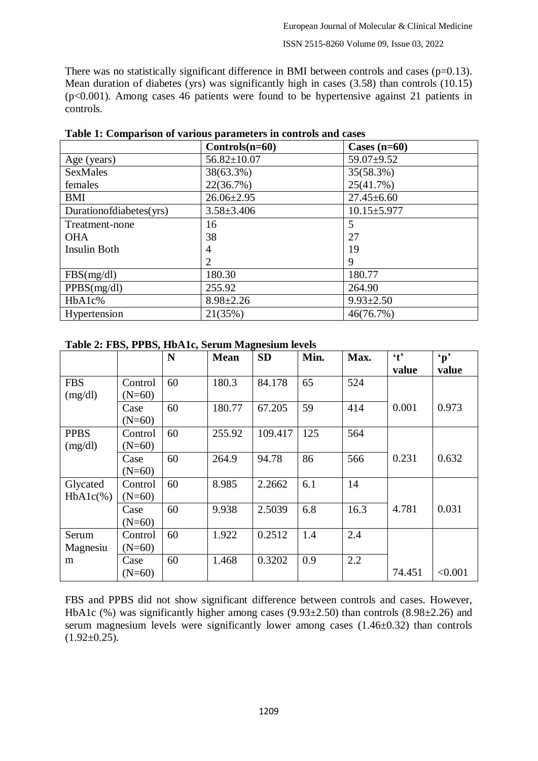There was no statistically significant difference in BMI between controls and cases ( $p=0.13$ ). Mean duration of diabetes (yrs) was significantly high in cases (3.58) than controls (10.15) (p<0.001). Among cases 46 patients were found to be hypertensive against 21 patients in controls.

|                            | $Controls(n=60)$  | Cases $(n=60)$    |
|----------------------------|-------------------|-------------------|
| Age (years)                | $56.82 \pm 10.07$ | $59.07+9.52$      |
| <b>SexMales</b>            | 38(63.3%)         | 35(58.3%)         |
| females                    | 22(36.7%)         | 25(41.7%)         |
| BMI                        | $26.06 \pm 2.95$  | $27.45 \pm 6.60$  |
| Duration of diabetes (yrs) | $3.58 \pm 3.406$  | $10.15 \pm 5.977$ |
| Treatment-none             | 16                | 5                 |
| <b>OHA</b>                 | 38                | 27                |
| <b>Insulin Both</b>        | 4                 | 19                |
|                            | $\overline{2}$    | 9                 |
| FBS(mg/dl)                 | 180.30            | 180.77            |
| PPBS(mg/dl)                | 255.92            | 264.90            |
| HbA1c%                     | $8.98 \pm 2.26$   | $9.93 \pm 2.50$   |
| Hypertension               | 21(35%)           | 46(76.7%)         |

**Table 1: Comparison of various parameters in controls and cases**

#### **Table 2: FBS, PPBS, HbA1c, Serum Magnesium levels**

|                         |                     | N  | <b>Mean</b> | <b>SD</b> | Min. | Max. | $\mathbf{t}$<br>value | $\mathbf{p}$<br>value |
|-------------------------|---------------------|----|-------------|-----------|------|------|-----------------------|-----------------------|
| <b>FBS</b><br>(mg/dl)   | Control<br>$(N=60)$ | 60 | 180.3       | 84.178    | 65   | 524  |                       |                       |
|                         | Case<br>$(N=60)$    | 60 | 180.77      | 67.205    | 59   | 414  | 0.001                 | 0.973                 |
| <b>PPBS</b><br>(mg/dl)  | Control<br>$(N=60)$ | 60 | 255.92      | 109.417   | 125  | 564  |                       |                       |
|                         | Case<br>$(N=60)$    | 60 | 264.9       | 94.78     | 86   | 566  | 0.231                 | 0.632                 |
| Glycated<br>$HbA1c(\%)$ | Control<br>$(N=60)$ | 60 | 8.985       | 2.2662    | 6.1  | 14   |                       |                       |
|                         | Case<br>$(N=60)$    | 60 | 9.938       | 2.5039    | 6.8  | 16.3 | 4.781                 | 0.031                 |
| Serum<br>Magnesiu       | Control<br>$(N=60)$ | 60 | 1.922       | 0.2512    | 1.4  | 2.4  |                       |                       |
| m                       | Case<br>$(N=60)$    | 60 | 1.468       | 0.3202    | 0.9  | 2.2  | 74.451                | < 0.001               |

FBS and PPBS did not show significant difference between controls and cases. However, HbA1c (%) was significantly higher among cases (9.93 $\pm$ 2.50) than controls (8.98 $\pm$ 2.26) and serum magnesium levels were significantly lower among cases (1.46±0.32) than controls  $(1.92\pm0.25)$ .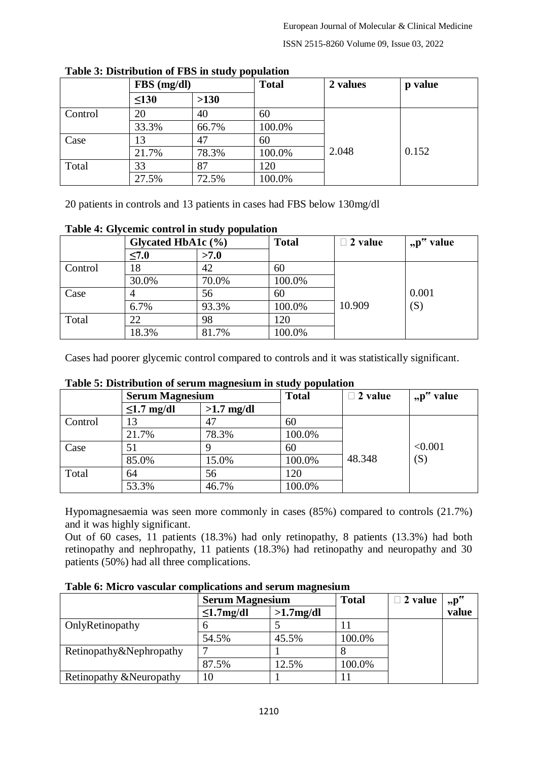|         | $FBS$ (mg/dl) |        | <b>Total</b> | 2 values | p value |
|---------|---------------|--------|--------------|----------|---------|
|         | $\leq 130$    | $>130$ |              |          |         |
| Control | 20            | 40     | 60           |          |         |
|         | 33.3%         | 66.7%  | 100.0%       |          |         |
| Case    | 13            | 47     | 60           |          |         |
|         | 21.7%         | 78.3%  | 100.0%       | 2.048    | 0.152   |
| Total   | 33            | 87     | 120          |          |         |
|         | 27.5%         | 72.5%  | 100.0%       |          |         |

**Table 3: Distribution of FBS in study population**

20 patients in controls and 13 patients in cases had FBS below 130mg/dl

| Table 4. Orygenic control in staty population |            |                        |        |                |           |  |  |  |  |  |
|-----------------------------------------------|------------|------------------------|--------|----------------|-----------|--|--|--|--|--|
|                                               |            | Glycated HbA1c $(\% )$ |        | $\Box$ 2 value | "p" value |  |  |  |  |  |
|                                               | $\leq 7.0$ | >7.0                   |        |                |           |  |  |  |  |  |
| Control                                       | 18         | 42                     | 60     |                |           |  |  |  |  |  |
|                                               | 30.0%      | 70.0%                  | 100.0% |                |           |  |  |  |  |  |
| Case                                          |            | 56                     | 60     |                | 0.001     |  |  |  |  |  |
|                                               | 6.7%       | 93.3%                  | 100.0% | 10.909         | (S)       |  |  |  |  |  |
| Total                                         | 22         | 98                     | 120    |                |           |  |  |  |  |  |
|                                               | 18.3%      | 81.7%                  | 100.0% |                |           |  |  |  |  |  |

#### **Table 4: Glycemic control in study population**

Cases had poorer glycemic control compared to controls and it was statistically significant.

|         | <b>Serum Magnesium</b> |              | <b>Total</b> | $\Box$ 2 value | " $p^{\prime\prime}$ value |  |  |  |  |  |
|---------|------------------------|--------------|--------------|----------------|----------------------------|--|--|--|--|--|
|         | $\leq 1.7$ mg/dl       | $>1.7$ mg/dl |              |                |                            |  |  |  |  |  |
| Control | 13                     | 47           | 60           |                |                            |  |  |  |  |  |
|         | 21.7%                  | 78.3%        | 100.0%       |                |                            |  |  |  |  |  |
| Case    | 51                     |              | 60           |                | < 0.001                    |  |  |  |  |  |
|         | 85.0%                  | 15.0%        | 100.0%       | 48.348         | (S)                        |  |  |  |  |  |
| Total   | 64                     | 56           | 120          |                |                            |  |  |  |  |  |
|         | 53.3%                  | 46.7%        | 100.0%       |                |                            |  |  |  |  |  |

## **Table 5: Distribution of serum magnesium in study population**

Hypomagnesaemia was seen more commonly in cases (85%) compared to controls (21.7%) and it was highly significant.

Out of 60 cases, 11 patients (18.3%) had only retinopathy, 8 patients (13.3%) had both retinopathy and nephropathy, 11 patients (18.3%) had retinopathy and neuropathy and 30 patients (50%) had all three complications.

**Table 6: Micro vascular complications and serum magnesium**

|                          | <b>Serum Magnesium</b> |              | <b>Total</b> | $\Box$ 2 value | $p^{\prime\prime}$ |
|--------------------------|------------------------|--------------|--------------|----------------|--------------------|
|                          | $\leq 1.7$ mg/dl       | $>1.7$ mg/dl |              |                | value              |
| OnlyRetinopathy          |                        |              |              |                |                    |
|                          | 54.5%                  | 45.5%        | 100.0%       |                |                    |
| Retinopathy&Nephropathy  |                        |              |              |                |                    |
|                          | 87.5%                  | 12.5%        | 100.0%       |                |                    |
| Retinopathy & Neuropathy |                        |              |              |                |                    |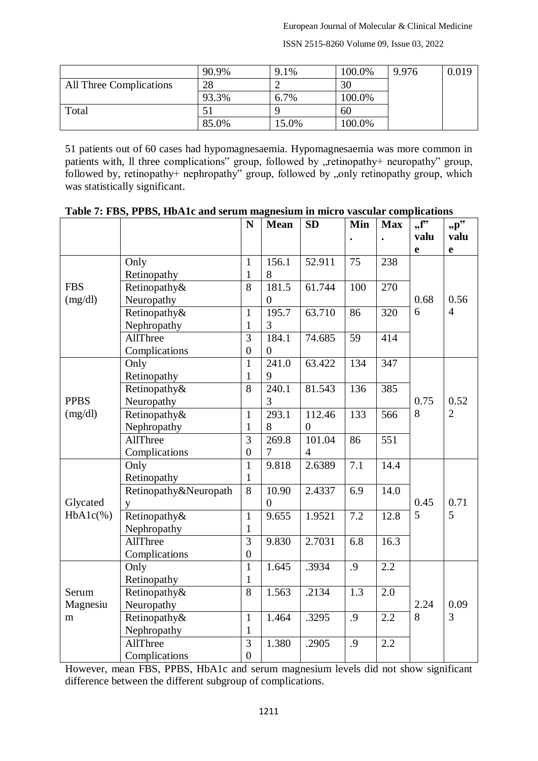ISSN 2515-8260 Volume 09, Issue 03, 2022

|                                | 90.9% | 9.1%  | 100.0% | 9.976 | 0.019 |
|--------------------------------|-------|-------|--------|-------|-------|
| <b>All Three Complications</b> | 28    |       | 30     |       |       |
|                                | 93.3% | 6.7%  | 100.0% |       |       |
| Total                          |       |       | 60     |       |       |
|                                | 85.0% | 15.0% | 100.0% |       |       |

51 patients out of 60 cases had hypomagnesaemia. Hypomagnesaemia was more common in patients with, Il three complications" group, followed by "retinopathy+ neuropathy" group, followed by, retinopathy+ nephropathy" group, followed by "only retinopathy group, which was statistically significant.

|             |                       | N                | <b>Mean</b>        | <b>SD</b>      | Min | <b>Max</b>       | $, f^{\prime\prime}$ | $p^{\prime\prime}$ |
|-------------|-----------------------|------------------|--------------------|----------------|-----|------------------|----------------------|--------------------|
|             |                       |                  |                    |                |     |                  | valu                 | valu               |
|             |                       |                  |                    |                |     |                  | $\mathbf e$          | $\mathbf e$        |
|             | Only                  | $\mathbf{1}$     | 156.1              | 52.911         | 75  | 238              |                      |                    |
|             | Retinopathy           | $\mathbf{1}$     | 8                  |                |     |                  |                      |                    |
| <b>FBS</b>  | Retinopathy&          | $\overline{8}$   | 181.5              | 61.744         | 100 | 270              |                      |                    |
| (mg/dl)     | Neuropathy            |                  | $\overline{0}$     |                |     |                  | 0.68                 | 0.56               |
|             | Retinopathy&          | $\mathbf{1}$     | 195.7              | 63.710         | 86  | 320              | 6                    | $\overline{4}$     |
|             | Nephropathy           | 1                | 3                  |                |     |                  |                      |                    |
|             | AllThree              | 3                | 184.1              | 74.685         | 59  | 414              |                      |                    |
|             | Complications         | $\boldsymbol{0}$ | $\overline{0}$     |                |     |                  |                      |                    |
|             | Only                  | $\mathbf{1}$     | 241.0              | 63.422         | 134 | 347              |                      |                    |
|             | Retinopathy           | $\mathbf{1}$     | 9                  |                |     |                  |                      |                    |
|             | Retinopathy&          | 8                | 240.1              | 81.543         | 136 | 385              |                      |                    |
| <b>PPBS</b> | Neuropathy            |                  | 3                  |                |     |                  | 0.75                 | 0.52               |
| (mg/dl)     | Retinopathy&          | $\mathbf{1}$     | $\overline{2}93.1$ | 112.46         | 133 | 566              | 8                    | $\overline{2}$     |
|             | Nephropathy           | $\mathbf{1}$     | 8                  | $\overline{0}$ |     |                  |                      |                    |
|             | AllThree              | $\overline{3}$   | 269.8              | 101.04         | 86  | 551              |                      |                    |
|             | Complications         | $\overline{0}$   | $\overline{7}$     | $\overline{4}$ |     |                  |                      |                    |
|             | Only                  | $\mathbf{1}$     | 9.818              | 2.6389         | 7.1 | 14.4             |                      |                    |
|             | Retinopathy           | $\mathbf{1}$     |                    |                |     |                  |                      |                    |
|             | Retinopathy&Neuropath | 8                | 10.90              | 2.4337         | 6.9 | 14.0             |                      |                    |
| Glycated    | y                     |                  | $\overline{0}$     |                |     |                  | 0.45                 | 0.71               |
| $HbA1c(\%)$ | Retinopathy&          | $\mathbf{1}$     | 9.655              | 1.9521         | 7.2 | 12.8             | 5                    | 5                  |
|             | Nephropathy           | $\mathbf{1}$     |                    |                |     |                  |                      |                    |
|             | AllThree              | $\overline{3}$   | 9.830              | 2.7031         | 6.8 | 16.3             |                      |                    |
|             | Complications         | $\boldsymbol{0}$ |                    |                |     |                  |                      |                    |
|             | Only                  | $\mathbf{1}$     | 1.645              | .3934          | .9  | $\overline{2.2}$ |                      |                    |
|             | Retinopathy           | $\mathbf{1}$     |                    |                |     |                  |                      |                    |
| Serum       | Retinopathy&          | 8                | 1.563              | .2134          | 1.3 | 2.0              |                      |                    |
| Magnesiu    | Neuropathy            |                  |                    |                |     |                  | 2.24                 | 0.09               |
| m           | Retinopathy&          | $\mathbf{1}$     | 1.464              | .3295          | .9  | $\overline{2.2}$ | 8                    | 3                  |
|             | Nephropathy           | $\mathbf{1}$     |                    |                |     |                  |                      |                    |
|             | AllThree              | $\overline{3}$   | 1.380              | .2905          | .9  | 2.2              |                      |                    |
|             | Complications         | $\boldsymbol{0}$ |                    |                |     |                  |                      |                    |

| Table 7: FBS, PPBS, HbA1c and serum magnesium in micro vascular complications |  |  |  |  |
|-------------------------------------------------------------------------------|--|--|--|--|
|                                                                               |  |  |  |  |

However, mean FBS, PPBS, HbA1c and serum magnesium levels did not show significant difference between the different subgroup of complications.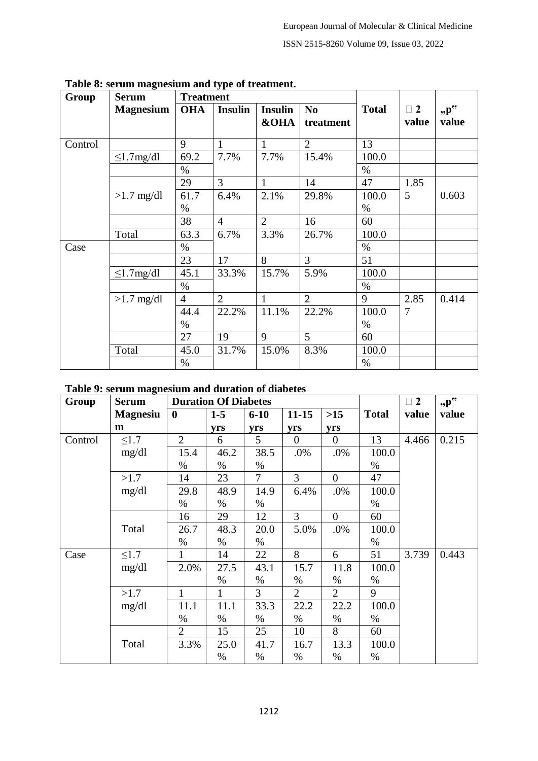| Group   | <b>Serum</b>     | <b>Treatment</b> |                |                 |                |              |          |                    |
|---------|------------------|------------------|----------------|-----------------|----------------|--------------|----------|--------------------|
|         | <b>Magnesium</b> | <b>OHA</b>       | <b>Insulin</b> | <b>Insulin</b>  | N <sub>0</sub> | <b>Total</b> | $\Box$ 2 | $p^{\prime\prime}$ |
|         |                  |                  |                | <b>&amp;OHA</b> | treatment      |              | value    | value              |
|         |                  | 9                |                |                 |                |              |          |                    |
| Control |                  |                  | $\mathbf{1}$   | 1               | $\overline{2}$ | 13           |          |                    |
|         | $\leq$ 1.7mg/dl  | 69.2             | 7.7%           | 7.7%            | 15.4%          | 100.0        |          |                    |
|         |                  | $\%$             |                |                 |                | $\%$         |          |                    |
|         |                  | 29               | 3              | 1               | 14             | 47           | 1.85     |                    |
|         | $>1.7$ mg/dl     | 61.7             | 6.4%           | 2.1%            | 29.8%          | 100.0        | 5        | 0.603              |
|         |                  | $\%$             |                |                 |                | $\%$         |          |                    |
|         |                  | 38               | $\overline{4}$ | $\overline{2}$  | 16             | 60           |          |                    |
|         | Total            | 63.3             | 6.7%           | 3.3%            | 26.7%          | 100.0        |          |                    |
| Case    |                  | $\%$             |                |                 |                | $\%$         |          |                    |
|         |                  | 23               | 17             | 8               | 3              | 51           |          |                    |
|         | $\leq$ 1.7mg/dl  | 45.1             | 33.3%          | 15.7%           | 5.9%           | 100.0        |          |                    |
|         |                  | $\%$             |                |                 |                | $\%$         |          |                    |
|         | $>1.7$ mg/dl     | $\overline{4}$   | $\overline{2}$ | $\mathbf{1}$    | $\overline{2}$ | 9            | 2.85     | 0.414              |
|         |                  | 44.4             | 22.2%          | 11.1%           | 22.2%          | 100.0        | 7        |                    |
|         |                  | $\%$             |                |                 |                | $\%$         |          |                    |
|         |                  | 27               | 19             | 9               | 5              | 60           |          |                    |
|         | Total            | 45.0             | 31.7%          | 15.0%           | 8.3%           | 100.0        |          |                    |
|         |                  | $\%$             |                |                 |                | $\%$         |          |                    |

**Table 8: serum magnesium and type of treatment.**

## **Table 9: serum magnesium and duration of diabetes**

| Group   | <b>Serum</b>    |                | <b>Duration Of Diabetes</b> |                |                |                | $\Box$ 2     | $p^{\prime\prime}$ |       |
|---------|-----------------|----------------|-----------------------------|----------------|----------------|----------------|--------------|--------------------|-------|
|         | <b>Magnesiu</b> | $\bf{0}$       | $1-5$                       | $6 - 10$       | $11 - 15$      | $>15$          | <b>Total</b> | value              | value |
|         | m               |                | yrs                         | yrs            | yrs            | yrs            |              |                    |       |
| Control | $\leq1.7$       | 2              | 6                           | 5              | $\theta$       | $\overline{0}$ | 13           | 4.466              | 0.215 |
|         | mg/dl           | 15.4           | 46.2                        | 38.5           | .0%            | .0%            | 100.0        |                    |       |
|         |                 | $\%$           | $\%$                        | $\%$           |                |                | $\%$         |                    |       |
|         | >1.7            | 14             | 23                          | $\overline{7}$ | 3              | $\overline{0}$ | 47           |                    |       |
|         | mg/dl           | 29.8           | 48.9                        | 14.9           | 6.4%           | .0%            | 100.0        |                    |       |
|         |                 | $\%$           | $\%$                        | $\%$           |                |                | $\%$         |                    |       |
|         |                 | 16             | 29                          | 12             | 3              | $\overline{0}$ | 60           |                    |       |
|         | Total           | 26.7           | 48.3                        | 20.0           | 5.0%           | .0%            | 100.0        |                    |       |
|         |                 | $\%$           | $\%$                        | $\%$           |                |                | $\%$         |                    |       |
| Case    | $\leq1.7$       | $\mathbf{1}$   | 14                          | 22             | 8              | 6              | 51           | 3.739              | 0.443 |
|         | mg/dl           | 2.0%           | 27.5                        | 43.1           | 15.7           | 11.8           | 100.0        |                    |       |
|         |                 |                | $\%$                        | $\%$           | $\%$           | $\%$           | $\%$         |                    |       |
|         | >1.7            | $\mathbf{1}$   | $\mathbf{1}$                | 3              | $\overline{2}$ | $\overline{2}$ | 9            |                    |       |
|         | mg/dl           | 11.1           | 11.1                        | 33.3           | 22.2           | 22.2           | 100.0        |                    |       |
|         |                 | $\%$           | $\%$                        | $\%$           | $\%$           | $\%$           | $\%$         |                    |       |
|         |                 | $\overline{2}$ | 15                          | 25             | 10             | 8              | 60           |                    |       |
|         | Total           | 3.3%           | 25.0                        | 41.7           | 16.7           | 13.3           | 100.0        |                    |       |
|         |                 |                | $\%$                        | $\%$           | $\%$           | $\%$           | $\%$         |                    |       |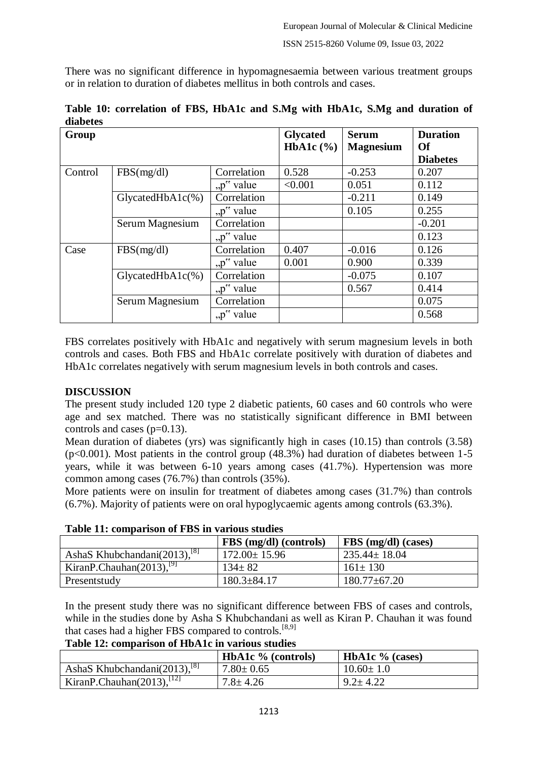There was no significant difference in hypomagnesaemia between various treatment groups or in relation to duration of diabetes mellitus in both controls and cases.

| Group   |                     |                            | <b>Glycated</b><br>HbA1c $(\%)$ | <b>Serum</b><br><b>Magnesium</b> | <b>Duration</b><br><b>Of</b><br><b>Diabetes</b> |
|---------|---------------------|----------------------------|---------------------------------|----------------------------------|-------------------------------------------------|
| Control | FBS(mg/dl)          | Correlation                | 0.528                           | $-0.253$                         | 0.207                                           |
|         |                     | " $p^{\prime\prime}$ value | < 0.001                         | 0.051                            | 0.112                                           |
|         | $GlycatedHbA1c(\%)$ | Correlation                |                                 | $-0.211$                         | 0.149                                           |
|         |                     | "p" value                  |                                 | 0.105                            | 0.255                                           |
|         | Serum Magnesium     | Correlation                |                                 |                                  | $-0.201$                                        |
|         |                     | "p" value                  |                                 |                                  | 0.123                                           |
| Case    | FBS(mg/dl)          | Correlation                | 0.407                           | $-0.016$                         | 0.126                                           |
|         |                     | "p" value                  | 0.001                           | 0.900                            | 0.339                                           |
|         | $GlycatedHbA1c(\%)$ | Correlation                |                                 | $-0.075$                         | 0.107                                           |
|         |                     | "p" value                  |                                 | 0.567                            | 0.414                                           |
|         | Serum Magnesium     | Correlation                |                                 |                                  | 0.075                                           |
|         |                     | "p" value                  |                                 |                                  | 0.568                                           |

**Table 10: correlation of FBS, HbA1c and S.Mg with HbA1c, S.Mg and duration of diabetes**

FBS correlates positively with HbA1c and negatively with serum magnesium levels in both controls and cases. Both FBS and HbA1c correlate positively with duration of diabetes and HbA1c correlates negatively with serum magnesium levels in both controls and cases.

## **DISCUSSION**

The present study included 120 type 2 diabetic patients, 60 cases and 60 controls who were age and sex matched. There was no statistically significant difference in BMI between controls and cases (p=0.13).

Mean duration of diabetes (yrs) was significantly high in cases (10.15) than controls (3.58)  $(p<0.001)$ . Most patients in the control group (48.3%) had duration of diabetes between 1-5 years, while it was between 6-10 years among cases (41.7%). Hypertension was more common among cases (76.7%) than controls (35%).

More patients were on insulin for treatment of diabetes among cases (31.7%) than controls (6.7%). Majority of patients were on oral hypoglycaemic agents among controls (63.3%).

| Table 11, comparison of FDS in various studies |                        |                     |  |  |
|------------------------------------------------|------------------------|---------------------|--|--|
|                                                | FBS (mg/dl) (controls) | FBS (mg/dl) (cases) |  |  |
| AshaS Khubchandani $(2013)$ , $^{[8]}$         | $172.00 \pm 15.96$     | $235.44 \pm 18.04$  |  |  |
| KiranP.Chauhan(2013). <sup>[9]</sup>           | $134 \pm 82$           | $161 \pm 130$       |  |  |
| Presentstudy                                   | $180.3 \pm 84.17$      | $180.77 \pm 67.20$  |  |  |

**Table 11: comparison of FBS in various studies**

In the present study there was no significant difference between FBS of cases and controls, while in the studies done by Asha S Khubchandani as well as Kiran P. Chauhan it was found that cases had a higher FBS compared to controls.<sup>[8,9]</sup>

**Table 12: comparison of HbA1c in various studies**

|                                        | <b>HbA1c</b> $\%$ (controls) | <b>HbA1c</b> $\%$ (cases) |
|----------------------------------------|------------------------------|---------------------------|
| AshaS Khubchandani $(2013)$ , $^{[8]}$ | $7.80 \pm 0.65$              | $10.60 \pm 1.0$           |
| KiranP.Chauhan $(2013)$ , $^{[12]}$    | $7.8 \pm 4.26$               | $9.2 \pm 4.22$            |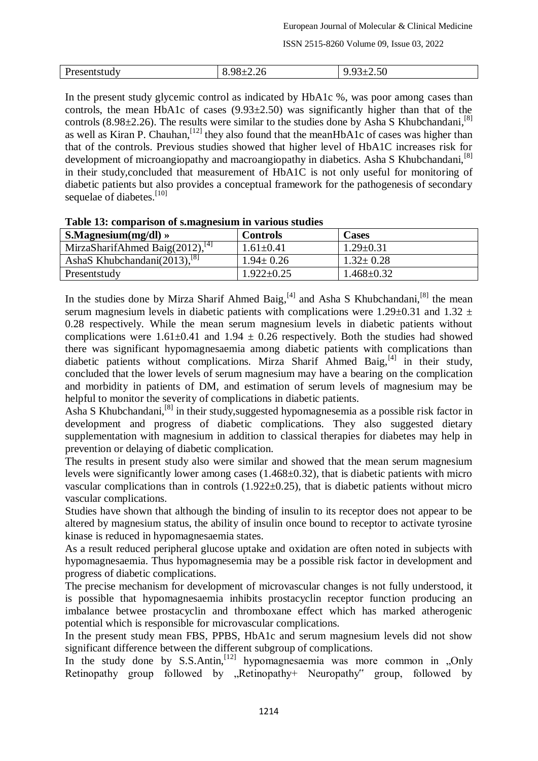| Presentstudy | $QQ_+$<br>2.26<br>______ | $\sim$ $\sim$<br>2.JU |
|--------------|--------------------------|-----------------------|

In the present study glycemic control as indicated by HbA1c %, was poor among cases than controls, the mean HbA1c of cases  $(9.93\pm2.50)$  was significantly higher than that of the controls (8.98 $\pm$ 2.26). The results were similar to the studies done by Asha S Khubchandani, [8] as well as Kiran P. Chauhan,  $^{[12]}$  they also found that the meanHbA1c of cases was higher than that of the controls. Previous studies showed that higher level of HbA1C increases risk for development of microangiopathy and macroangiopathy in diabetics. Asha S Khubchandani.<sup>[8]</sup> in their study,concluded that measurement of HbA1C is not only useful for monitoring of diabetic patients but also provides a conceptual framework for the pathogenesis of secondary sequelae of diabetes.<sup>[10]</sup>

| Table To: comparison of simagnesium in various studies |                  |                  |  |  |
|--------------------------------------------------------|------------------|------------------|--|--|
| $S.Magnesium(mg/dl) \rangle$                           | <b>Controls</b>  | <b>Cases</b>     |  |  |
| MirzaSharifAhmed Baig $(2012)$ <sup>[4]</sup>          | $1.61 \pm 0.41$  | $1.29 \pm 0.31$  |  |  |
| AshaS Khubchandani $(2013)$ <sup>[8]</sup>             | $1.94 \pm 0.26$  | $1.32 \pm 0.28$  |  |  |
| Presentstudy                                           | $1.922 \pm 0.25$ | $1.468 \pm 0.32$ |  |  |

#### **Table 13: comparison of s.magnesium in various studies**

In the studies done by Mirza Sharif Ahmed Baig,  $[4]$  and Asha S Khubchandani,  $[8]$  the mean serum magnesium levels in diabetic patients with complications were 1.29 $\pm$ 0.31 and 1.32  $\pm$ 0.28 respectively. While the mean serum magnesium levels in diabetic patients without complications were  $1.61\pm0.41$  and  $1.94\pm0.26$  respectively. Both the studies had showed there was significant hypomagnesaemia among diabetic patients with complications than diabetic patients without complications. Mirza Sharif Ahmed Baig,<sup>[4]</sup> in their study, concluded that the lower levels of serum magnesium may have a bearing on the complication and morbidity in patients of DM, and estimation of serum levels of magnesium may be helpful to monitor the severity of complications in diabetic patients.

Asha S Khubchandani,<sup>[8]</sup> in their study, suggested hypomagnesemia as a possible risk factor in development and progress of diabetic complications. They also suggested dietary supplementation with magnesium in addition to classical therapies for diabetes may help in prevention or delaying of diabetic complication.

The results in present study also were similar and showed that the mean serum magnesium levels were significantly lower among cases (1.468±0.32), that is diabetic patients with micro vascular complications than in controls  $(1.922\pm0.25)$ , that is diabetic patients without micro vascular complications.

Studies have shown that although the binding of insulin to its receptor does not appear to be altered by magnesium status, the ability of insulin once bound to receptor to activate tyrosine kinase is reduced in hypomagnesaemia states.

As a result reduced peripheral glucose uptake and oxidation are often noted in subjects with hypomagnesaemia. Thus hypomagnesemia may be a possible risk factor in development and progress of diabetic complications.

The precise mechanism for development of microvascular changes is not fully understood, it is possible that hypomagnesaemia inhibits prostacyclin receptor function producing an imbalance betwee prostacyclin and thromboxane effect which has marked atherogenic potential which is responsible for microvascular complications.

In the present study mean FBS, PPBS, HbA1c and serum magnesium levels did not show significant difference between the different subgroup of complications.

In the study done by S.S.Antin,<sup>[12]</sup> hypomagnesaemia was more common in "Only Retinopathy group followed by , Retinopathy+ Neuropathy<sup>\*</sup> group, followed by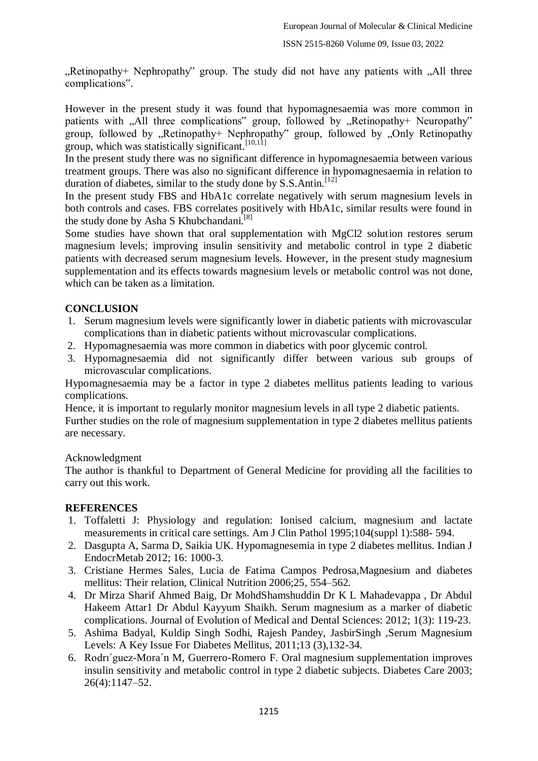Retinopathy+ Nephropathy" group. The study did not have any patients with .All three complications".

However in the present study it was found that hypomagnesaemia was more common in patients with "All three complications" group, followed by "Retinopathy+ Neuropathy" group, followed by  $R$ , Retinopathy+ Nephropathy<sup>\*\*</sup> group, followed by  $R$ , Only Retinopathy group, which was statistically significant.<sup>[10,11]</sup>

In the present study there was no significant difference in hypomagnesaemia between various treatment groups. There was also no significant difference in hypomagnesaemia in relation to duration of diabetes, similar to the study done by S.S.Antin.<sup>[12]</sup>

In the present study FBS and HbA1c correlate negatively with serum magnesium levels in both controls and cases. FBS correlates positively with HbA1c, similar results were found in the study done by Asha S Khubchandani.<sup>[8]</sup>

Some studies have shown that oral supplementation with MgCl2 solution restores serum magnesium levels; improving insulin sensitivity and metabolic control in type 2 diabetic patients with decreased serum magnesium levels. However, in the present study magnesium supplementation and its effects towards magnesium levels or metabolic control was not done, which can be taken as a limitation.

## **CONCLUSION**

- 1. Serum magnesium levels were significantly lower in diabetic patients with microvascular complications than in diabetic patients without microvascular complications.
- 2. Hypomagnesaemia was more common in diabetics with poor glycemic control.
- 3. Hypomagnesaemia did not significantly differ between various sub groups of microvascular complications.

Hypomagnesaemia may be a factor in type 2 diabetes mellitus patients leading to various complications.

Hence, it is important to regularly monitor magnesium levels in all type 2 diabetic patients. Further studies on the role of magnesium supplementation in type 2 diabetes mellitus patients are necessary.

## Acknowledgment

The author is thankful to Department of General Medicine for providing all the facilities to carry out this work.

## **REFERENCES**

- 1. Toffaletti J: Physiology and regulation: Ionised calcium, magnesium and lactate measurements in critical care settings. Am J Clin Pathol 1995;104(suppl 1):588- 594.
- 2. Dasgupta A, Sarma D, Saikia UK. Hypomagnesemia in type 2 diabetes mellitus. Indian J EndocrMetab 2012; 16: 1000-3.
- 3. Cristiane Hermes Sales, Lucia de Fatima Campos Pedrosa,Magnesium and diabetes mellitus: Their relation, Clinical Nutrition 2006;25, 554–562.
- 4. Dr Mirza Sharif Ahmed Baig, Dr MohdShamshuddin Dr K L Mahadevappa , Dr Abdul Hakeem Attar1 Dr Abdul Kayyum Shaikh. Serum magnesium as a marker of diabetic complications. Journal of Evolution of Medical and Dental Sciences: 2012; 1(3): 119-23.
- 5. Ashima Badyal, Kuldip Singh Sodhi, Rajesh Pandey, JasbirSingh ,Serum Magnesium Levels: A Key Issue For Diabetes Mellitus, 2011;13 (3),132-34.
- 6. Rodrı´guez-Mora´n M, Guerrero-Romero F. Oral magnesium supplementation improves insulin sensitivity and metabolic control in type 2 diabetic subjects. Diabetes Care 2003; 26(4):1147–52.